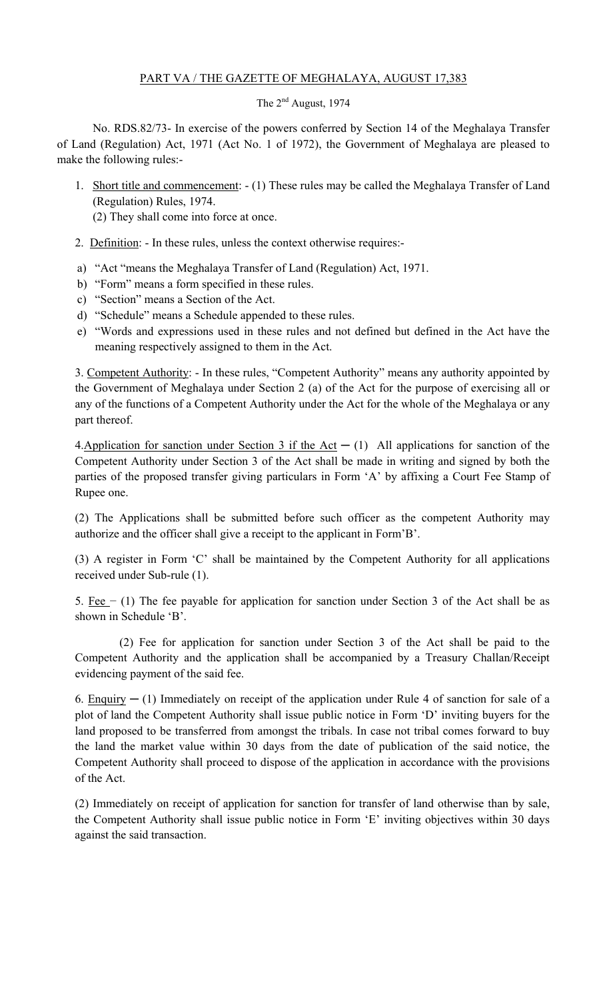# PART VA / THE GAZETTE OF MEGHALAYA, AUGUST 17,383

# The 2<sup>nd</sup> August, 1974

No. RDS.82/73- In exercise of the powers conferred by Section 14 of the Meghalaya Transfer of Land (Regulation) Act, 1971 (Act No. 1 of 1972), the Government of Meghalaya are pleased to make the following rules:-

1. Short title and commencement: - (1) These rules may be called the Meghalaya Transfer of Land (Regulation) Rules, 1974.

(2) They shall come into force at once.

- 2. Definition: In these rules, unless the context otherwise requires:-
- a) "Act "means the Meghalaya Transfer of Land (Regulation) Act, 1971.
- b) "Form" means a form specified in these rules.
- c) "Section" means a Section of the Act.
- d) "Schedule" means a Schedule appended to these rules.
- e) "Words and expressions used in these rules and not defined but defined in the Act have the meaning respectively assigned to them in the Act.

3. Competent Authority: - In these rules, "Competent Authority" means any authority appointed by the Government of Meghalaya under Section 2 (a) of the Act for the purpose of exercising all or any of the functions of a Competent Authority under the Act for the whole of the Meghalaya or any part thereof.

4. Application for sanction under Section 3 if the Act  $- (1)$  All applications for sanction of the Competent Authority under Section 3 of the Act shall be made in writing and signed by both the parties of the proposed transfer giving particulars in Form 'A' by affixing a Court Fee Stamp of Rupee one.

(2) The Applications shall be submitted before such officer as the competent Authority may authorize and the officer shall give a receipt to the applicant in Form'B'.

(3) A register in Form 'C' shall be maintained by the Competent Authority for all applications received under Sub-rule (1).

5. Fee − (1) The fee payable for application for sanction under Section 3 of the Act shall be as shown in Schedule 'B'.

(2) Fee for application for sanction under Section 3 of the Act shall be paid to the Competent Authority and the application shall be accompanied by a Treasury Challan/Receipt evidencing payment of the said fee.

6. Enquiry  $-$  (1) Immediately on receipt of the application under Rule 4 of sanction for sale of a plot of land the Competent Authority shall issue public notice in Form 'D' inviting buyers for the land proposed to be transferred from amongst the tribals. In case not tribal comes forward to buy the land the market value within 30 days from the date of publication of the said notice, the Competent Authority shall proceed to dispose of the application in accordance with the provisions of the Act.

(2) Immediately on receipt of application for sanction for transfer of land otherwise than by sale, the Competent Authority shall issue public notice in Form 'E' inviting objectives within 30 days against the said transaction.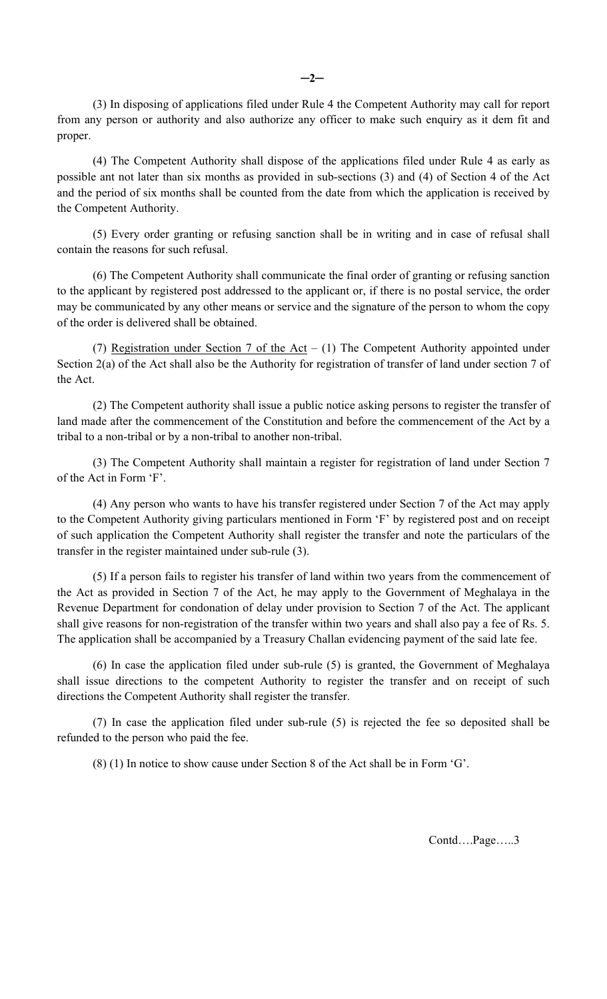(3) In disposing of applications filed under Rule 4 the Competent Authority may call for report from any person or authority and also authorize any officer to make such enquiry as it dem fit and proper.

(4) The Competent Authority shall dispose of the applications filed under Rule 4 as early as possible ant not later than six months as provided in sub-sections (3) and (4) of Section 4 of the Act and the period of six months shall be counted from the date from which the application is received by the Competent Authority.

(5) Every order granting or refusing sanction shall be in writing and in case of refusal shall contain the reasons for such refusal.

(6) The Competent Authority shall communicate the final order of granting or refusing sanction to the applicant by registered post addressed to the applicant or, if there is no postal service, the order may be communicated by any other means or service and the signature of the person to whom the copy of the order is delivered shall be obtained.

(7) Registration under Section 7 of the Act – (1) The Competent Authority appointed under Section 2(a) of the Act shall also be the Authority for registration of transfer of land under section 7 of the Act.

(2) The Competent authority shall issue a public notice asking persons to register the transfer of land made after the commencement of the Constitution and before the commencement of the Act by a tribal to a non-tribal or by a non-tribal to another non-tribal.

(3) The Competent Authority shall maintain a register for registration of land under Section 7 of the Act in Form 'F'.

(4) Any person who wants to have his transfer registered under Section 7 of the Act may apply to the Competent Authority giving particulars mentioned in Form 'F' by registered post and on receipt of such application the Competent Authority shall register the transfer and note the particulars of the transfer in the register maintained under sub-rule (3).

(5) If a person fails to register his transfer of land within two years from the commencement of the Act as provided in Section 7 of the Act, he may apply to the Government of Meghalaya in the Revenue Department for condonation of delay under provision to Section 7 of the Act. The applicant shall give reasons for non-registration of the transfer within two years and shall also pay a fee of Rs. 5. The application shall be accompanied by a Treasury Challan evidencing payment of the said late fee.

(6) In case the application filed under sub-rule (5) is granted, the Government of Meghalaya shall issue directions to the competent Authority to register the transfer and on receipt of such directions the Competent Authority shall register the transfer.

(7) In case the application filed under sub-rule (5) is rejected the fee so deposited shall be refunded to the person who paid the fee.

(8) (1) In notice to show cause under Section 8 of the Act shall be in Form 'G'.

Contd….Page…..3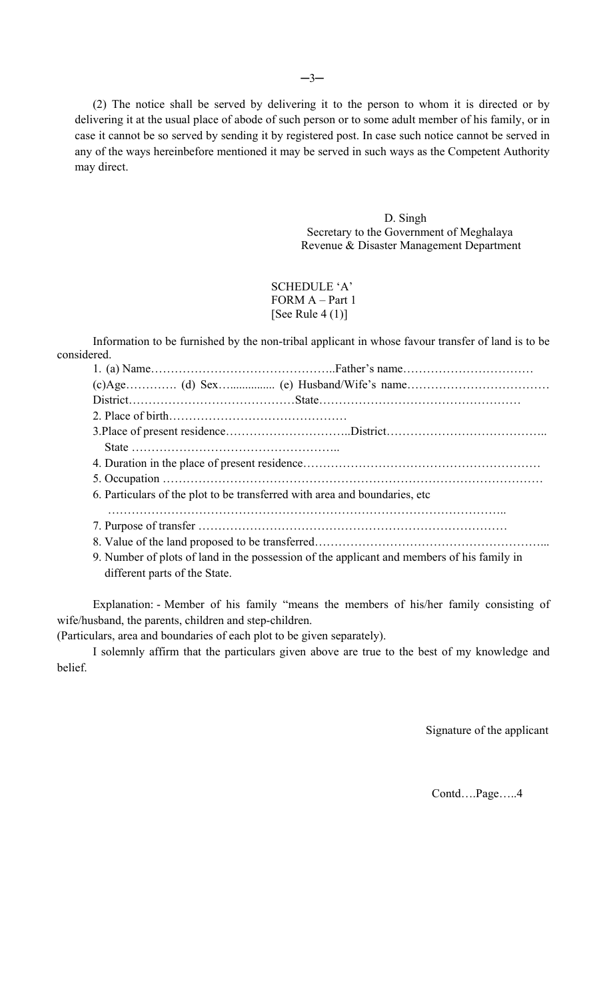(2) The notice shall be served by delivering it to the person to whom it is directed or by delivering it at the usual place of abode of such person or to some adult member of his family, or in case it cannot be so served by sending it by registered post. In case such notice cannot be served in any of the ways hereinbefore mentioned it may be served in such ways as the Competent Authority may direct.

> D. Singh Secretary to the Government of Meghalaya Revenue & Disaster Management Department

## SCHEDULE 'A' FORM A – Part 1 [See Rule 4 (1)]

Information to be furnished by the non-tribal applicant in whose favour transfer of land is to be considered.

|  | 6. Particulars of the plot to be transferred with area and boundaries, etc                                                                                                                                                                                                                                                                                                                 |  |  |  |  |  |  |
|--|--------------------------------------------------------------------------------------------------------------------------------------------------------------------------------------------------------------------------------------------------------------------------------------------------------------------------------------------------------------------------------------------|--|--|--|--|--|--|
|  |                                                                                                                                                                                                                                                                                                                                                                                            |  |  |  |  |  |  |
|  |                                                                                                                                                                                                                                                                                                                                                                                            |  |  |  |  |  |  |
|  | $0.31 \quad 1 \quad 0.1 \quad 0.1 \quad 1 \quad 1 \quad 1 \quad 1 \quad 0.1 \quad 1 \quad 1 \quad 0.1 \quad 0.1 \quad 0.1 \quad 0.1 \quad 0.1 \quad 0.1 \quad 0.1 \quad 0.1 \quad 0.1 \quad 0.1 \quad 0.1 \quad 0.1 \quad 0.1 \quad 0.1 \quad 0.1 \quad 0.1 \quad 0.1 \quad 0.1 \quad 0.1 \quad 0.1 \quad 0.1 \quad 0.1 \quad 0.1 \quad 0.1 \quad 0.1 \quad 0.1 \quad 0.1 \quad 0.1 \quad$ |  |  |  |  |  |  |

9. Number of plots of land in the possession of the applicant and members of his family in different parts of the State.

Explanation: - Member of his family "means the members of his/her family consisting of wife/husband, the parents, children and step-children.

(Particulars, area and boundaries of each plot to be given separately).

I solemnly affirm that the particulars given above are true to the best of my knowledge and belief.

Signature of the applicant

Contd….Page…..4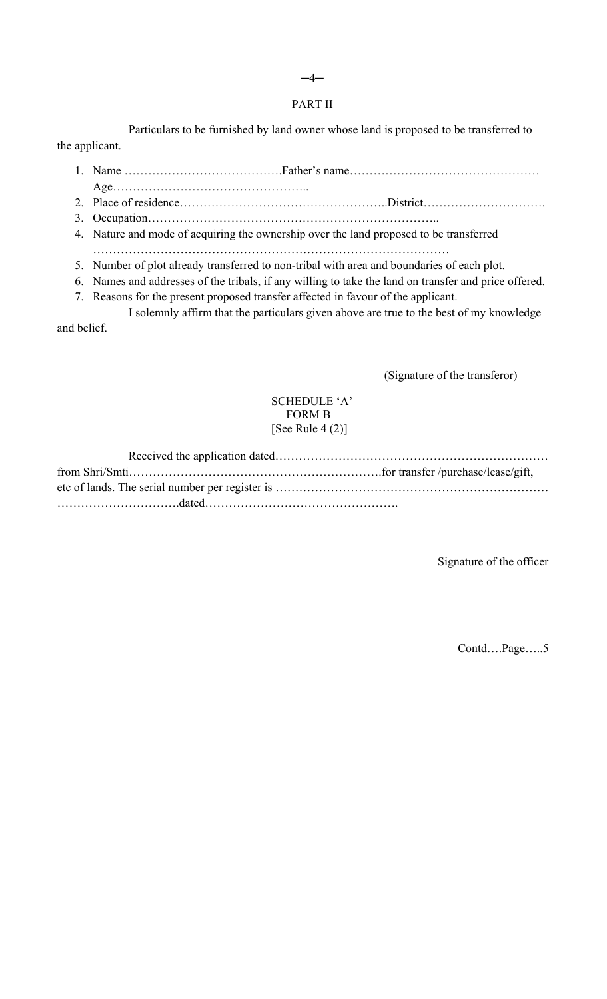## PART II

Particulars to be furnished by land owner whose land is proposed to be transferred to the applicant.

1. Name ………………………………….Father's name…………………………………………

Age…………………………………………..

- 2. Place of residence……………………………………………..District………………………….
- 3. Occupation………………………………………………………………..
- 4. Nature and mode of acquiring the ownership over the land proposed to be transferred ………………………………………………………………………………
- 5. Number of plot already transferred to non-tribal with area and boundaries of each plot.
- 6. Names and addresses of the tribals, if any willing to take the land on transfer and price offered.
- 7. Reasons for the present proposed transfer affected in favour of the applicant.

I solemnly affirm that the particulars given above are true to the best of my knowledge and belief.

(Signature of the transferor)

# SCHEDULE 'A' FORM B [See Rule  $4(2)$ ]

Signature of the officer

Contd….Page…..5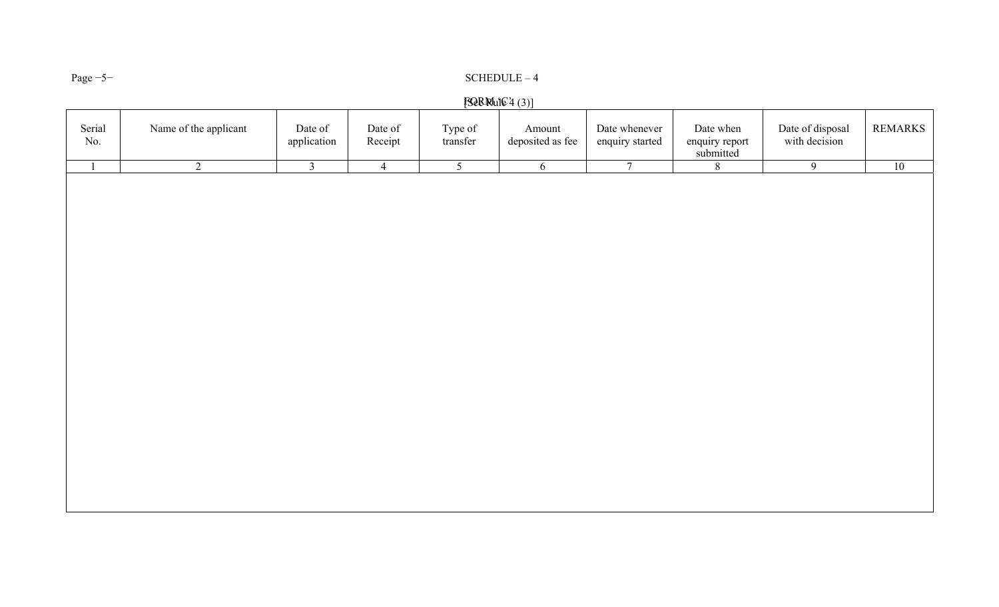# Page −5<sup>−</sup> SCHEDULE – 4

# $F$  $Q$  $R$  $R$  $U$  $E$  $4$   $(3)$ ]

| Serial<br>$\rm No.$ | Name of the applicant | Date of<br>application  | Date of<br>Receipt | Type of<br>transfer | Amount<br>deposited as fee | Date whenever<br>enquiry started | Date when<br>enquiry report<br>submitted | Date of disposal<br>with decision | <b>REMARKS</b> |
|---------------------|-----------------------|-------------------------|--------------------|---------------------|----------------------------|----------------------------------|------------------------------------------|-----------------------------------|----------------|
| $\mathbf{1}$        | $\overline{2}$        | $\overline{\mathbf{3}}$ | $\overline{4}$     | $\overline{5}$      | 6                          | $\overline{7}$                   | $\overline{8}$                           | $\overline{9}$                    | 10             |
|                     |                       |                         |                    |                     |                            |                                  |                                          |                                   |                |
|                     |                       |                         |                    |                     |                            |                                  |                                          |                                   |                |
|                     |                       |                         |                    |                     |                            |                                  |                                          |                                   |                |
|                     |                       |                         |                    |                     |                            |                                  |                                          |                                   |                |
|                     |                       |                         |                    |                     |                            |                                  |                                          |                                   |                |
|                     |                       |                         |                    |                     |                            |                                  |                                          |                                   |                |
|                     |                       |                         |                    |                     |                            |                                  |                                          |                                   |                |
|                     |                       |                         |                    |                     |                            |                                  |                                          |                                   |                |
|                     |                       |                         |                    |                     |                            |                                  |                                          |                                   |                |
|                     |                       |                         |                    |                     |                            |                                  |                                          |                                   |                |
|                     |                       |                         |                    |                     |                            |                                  |                                          |                                   |                |
|                     |                       |                         |                    |                     |                            |                                  |                                          |                                   |                |
|                     |                       |                         |                    |                     |                            |                                  |                                          |                                   |                |
|                     |                       |                         |                    |                     |                            |                                  |                                          |                                   |                |
|                     |                       |                         |                    |                     |                            |                                  |                                          |                                   |                |
|                     |                       |                         |                    |                     |                            |                                  |                                          |                                   |                |
|                     |                       |                         |                    |                     |                            |                                  |                                          |                                   |                |
|                     |                       |                         |                    |                     |                            |                                  |                                          |                                   |                |
|                     |                       |                         |                    |                     |                            |                                  |                                          |                                   |                |
|                     |                       |                         |                    |                     |                            |                                  |                                          |                                   |                |
|                     |                       |                         |                    |                     |                            |                                  |                                          |                                   |                |
|                     |                       |                         |                    |                     |                            |                                  |                                          |                                   |                |
|                     |                       |                         |                    |                     |                            |                                  |                                          |                                   |                |
|                     |                       |                         |                    |                     |                            |                                  |                                          |                                   |                |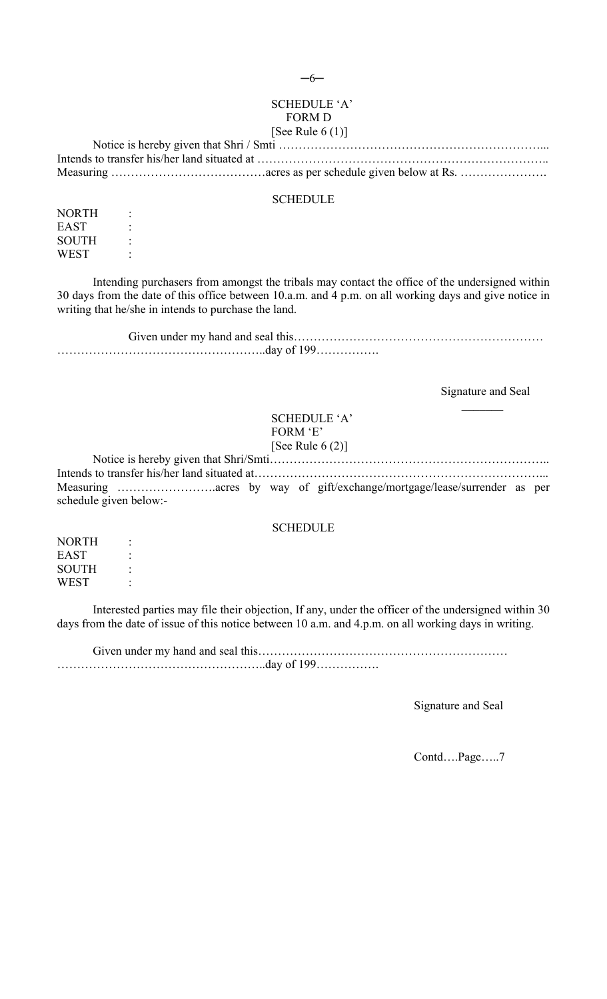# SCHEDULE 'A' FORM D

# [See Rule  $6(1)$ ]

#### SCHEDULE

NORTH : EAST : SOUTH : WEST :

Intending purchasers from amongst the tribals may contact the office of the undersigned within 30 days from the date of this office between 10.a.m. and 4 p.m. on all working days and give notice in writing that he/she in intends to purchase the land.

### Signature and Seal  $\mathcal{L}=\mathcal{L}$

## SCHEDULE 'A' FORM 'E' [See Rule 6 (2)]

Notice is hereby given that Shri/Smti…………………………………………………………….. Intends to transfer his/her land situated at………………………………………………………………... Measuring …………………….acres by way of gift/exchange/mortgage/lease/surrender as per schedule given below:-

### **SCHEDULE**

NORTH : EAST : SOUTH : **WEST** 

Interested parties may file their objection, If any, under the officer of the undersigned within 30 days from the date of issue of this notice between 10 a.m. and 4.p.m. on all working days in writing.

Given under my hand and seal this……………………………………………………… ……………………………………………..day of 199…………….

Signature and Seal

Contd….Page…..7

─6─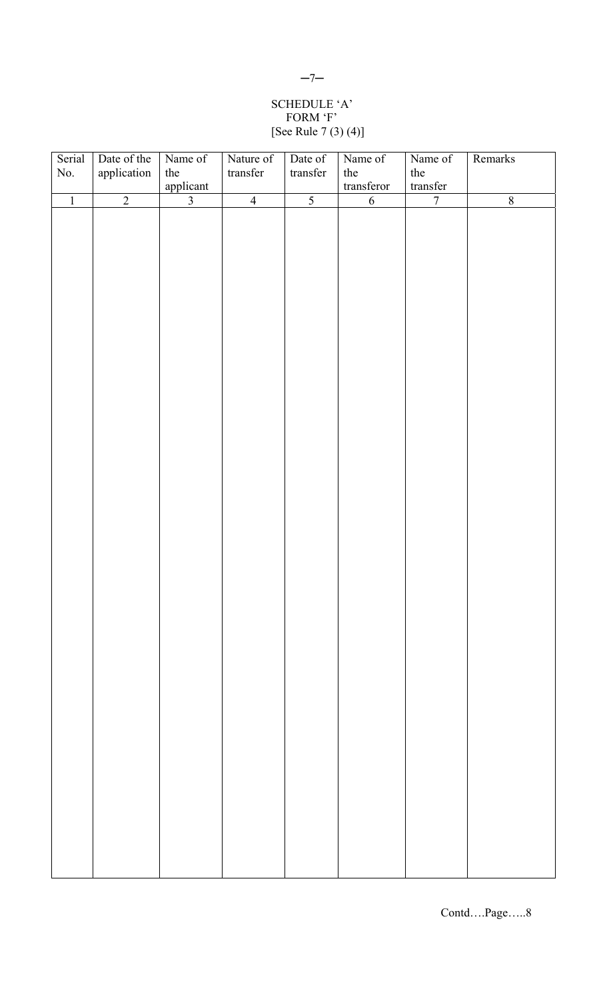# SCHEDULE 'A' FORM 'F' [See Rule 7 (3) (4)]

| Serial         | Date of the    | Name of        | Nature of      | Date of        | Name of    | Name of        | Remarks            |
|----------------|----------------|----------------|----------------|----------------|------------|----------------|--------------------|
| No.            | application    | the            | transfer       | $transfer$     | the        | the            |                    |
|                |                | applicant      |                |                | transferor | transfer       |                    |
| $\overline{1}$ | $\overline{2}$ | $\overline{3}$ | $\overline{4}$ | $\overline{5}$ | $\sqrt{6}$ | $\overline{7}$ | $\overline{\bf 8}$ |
|                |                |                |                |                |            |                |                    |
|                |                |                |                |                |            |                |                    |
|                |                |                |                |                |            |                |                    |
|                |                |                |                |                |            |                |                    |
|                |                |                |                |                |            |                |                    |
|                |                |                |                |                |            |                |                    |
|                |                |                |                |                |            |                |                    |
|                |                |                |                |                |            |                |                    |
|                |                |                |                |                |            |                |                    |
|                |                |                |                |                |            |                |                    |
|                |                |                |                |                |            |                |                    |
|                |                |                |                |                |            |                |                    |
|                |                |                |                |                |            |                |                    |
|                |                |                |                |                |            |                |                    |
|                |                |                |                |                |            |                |                    |
|                |                |                |                |                |            |                |                    |
|                |                |                |                |                |            |                |                    |
|                |                |                |                |                |            |                |                    |
|                |                |                |                |                |            |                |                    |
|                |                |                |                |                |            |                |                    |
|                |                |                |                |                |            |                |                    |
|                |                |                |                |                |            |                |                    |
|                |                |                |                |                |            |                |                    |
|                |                |                |                |                |            |                |                    |
|                |                |                |                |                |            |                |                    |
|                |                |                |                |                |            |                |                    |
|                |                |                |                |                |            |                |                    |
|                |                |                |                |                |            |                |                    |
|                |                |                |                |                |            |                |                    |
|                |                |                |                |                |            |                |                    |
|                |                |                |                |                |            |                |                    |
|                |                |                |                |                |            |                |                    |
|                |                |                |                |                |            |                |                    |
|                |                |                |                |                |            |                |                    |
|                |                |                |                |                |            |                |                    |
|                |                |                |                |                |            |                |                    |
|                |                |                |                |                |            |                |                    |
|                |                |                |                |                |            |                |                    |
|                |                |                |                |                |            |                |                    |
|                |                |                |                |                |            |                |                    |
|                |                |                |                |                |            |                |                    |
|                |                |                |                |                |            |                |                    |
|                |                |                |                |                |            |                |                    |
|                |                |                |                |                |            |                |                    |
|                |                |                |                |                |            |                |                    |
|                |                |                |                |                |            |                |                    |
|                |                |                |                |                |            |                |                    |
|                |                |                |                |                |            |                |                    |
|                |                |                |                |                |            |                |                    |
|                |                |                |                |                |            |                |                    |
|                |                |                |                |                |            |                |                    |

## $-7-$